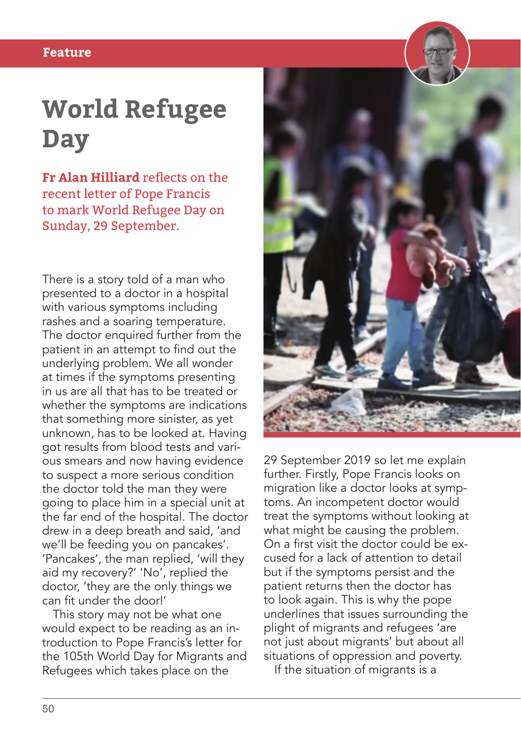## **World Refugee Day**

**Fr Alan Hilliard** reflects on the recent letter of Pope Francis to mark World Refugee Day on Sunday, 29 September.

There is a story told of a man who presented to a doctor in a hospital with various symptoms including rashes and a soaring temperature. The doctor enquired further from the patient in an attempt to find out the underlying problem. We all wonder at times if the symptoms presenting in us are all that has to be treated or whether the symptoms are indications that something more sinister, as yet unknown, has to be looked at. Having got results from blood tests and various smears and now having evidence to suspect a more serious condition the doctor told the man they were going to place him in a special unit at the far end of the hospital. The doctor drew in a deep breath and said, 'and we'll be feeding you on pancakes'. 'Pancakes', the man replied, 'will they aid my recovery?' 'No', replied the doctor, 'they are the only things we can fit under the door!'

This story may not be what one would expect to be reading as an introduction to Pope Francis's letter for the 105th World Day for Migrants and Refugees which takes place on the



29 September 2019 so let me explain further. Firstly, Pope Francis looks on migration like a doctor looks at symptoms. An incompetent doctor would treat the symptoms without looking at what might be causing the problem. On a first visit the doctor could be excused for a lack of attention to detail but if the symptoms persist and the patient returns then the doctor has to look again. This is why the pope underlines that issues surrounding the plight of migrants and refugees 'are not just about migrants' but about all situations of oppression and poverty.

If the situation of migrants is a